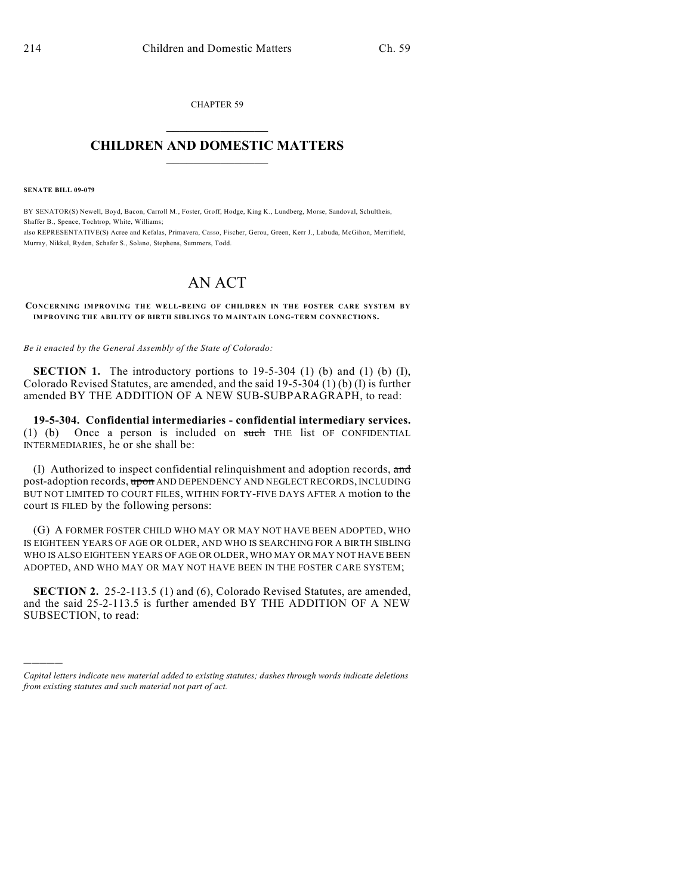CHAPTER 59  $\mathcal{L}_\text{max}$  . The set of the set of the set of the set of the set of the set of the set of the set of the set of the set of the set of the set of the set of the set of the set of the set of the set of the set of the set

## **CHILDREN AND DOMESTIC MATTERS**  $\_$

**SENATE BILL 09-079**

)))))

BY SENATOR(S) Newell, Boyd, Bacon, Carroll M., Foster, Groff, Hodge, King K., Lundberg, Morse, Sandoval, Schultheis, Shaffer B., Spence, Tochtrop, White, Williams; also REPRESENTATIVE(S) Acree and Kefalas, Primavera, Casso, Fischer, Gerou, Green, Kerr J., Labuda, McGihon, Merrifield, Murray, Nikkel, Ryden, Schafer S., Solano, Stephens, Summers, Todd.

## AN ACT

**CONCERNING IMPROVING THE WELL-BEING OF CHILDREN IN THE FOSTER CARE SYSTEM BY IMPROVING THE ABILITY OF BIRTH SIBLINGS TO M AINTAIN LONG-TERM CONNECTIONS.**

*Be it enacted by the General Assembly of the State of Colorado:*

**SECTION 1.** The introductory portions to 19-5-304 (1) (b) and (1) (b) (I), Colorado Revised Statutes, are amended, and the said 19-5-304 (1) (b) (I) is further amended BY THE ADDITION OF A NEW SUB-SUBPARAGRAPH, to read:

**19-5-304. Confidential intermediaries - confidential intermediary services.** (1) (b) Once a person is included on such THE list OF CONFIDENTIAL INTERMEDIARIES, he or she shall be:

(I) Authorized to inspect confidential relinquishment and adoption records, and post-adoption records, upon AND DEPENDENCY AND NEGLECT RECORDS, INCLUDING BUT NOT LIMITED TO COURT FILES, WITHIN FORTY-FIVE DAYS AFTER A motion to the court IS FILED by the following persons:

(G) A FORMER FOSTER CHILD WHO MAY OR MAY NOT HAVE BEEN ADOPTED, WHO IS EIGHTEEN YEARS OF AGE OR OLDER, AND WHO IS SEARCHING FOR A BIRTH SIBLING WHO IS ALSO EIGHTEEN YEARS OF AGE OR OLDER, WHO MAY OR MAY NOT HAVE BEEN ADOPTED, AND WHO MAY OR MAY NOT HAVE BEEN IN THE FOSTER CARE SYSTEM;

**SECTION 2.** 25-2-113.5 (1) and (6), Colorado Revised Statutes, are amended, and the said 25-2-113.5 is further amended BY THE ADDITION OF A NEW SUBSECTION, to read:

*Capital letters indicate new material added to existing statutes; dashes through words indicate deletions from existing statutes and such material not part of act.*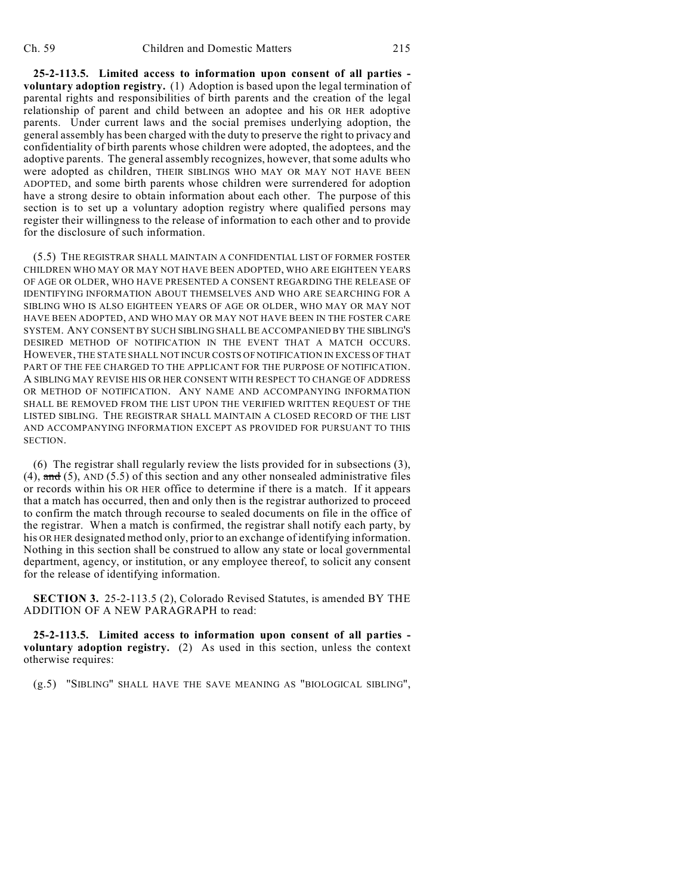**25-2-113.5. Limited access to information upon consent of all parties voluntary adoption registry.** (1) Adoption is based upon the legal termination of parental rights and responsibilities of birth parents and the creation of the legal relationship of parent and child between an adoptee and his OR HER adoptive parents. Under current laws and the social premises underlying adoption, the general assembly has been charged with the duty to preserve the right to privacy and confidentiality of birth parents whose children were adopted, the adoptees, and the adoptive parents. The general assembly recognizes, however, that some adults who were adopted as children, THEIR SIBLINGS WHO MAY OR MAY NOT HAVE BEEN ADOPTED, and some birth parents whose children were surrendered for adoption have a strong desire to obtain information about each other. The purpose of this section is to set up a voluntary adoption registry where qualified persons may register their willingness to the release of information to each other and to provide for the disclosure of such information.

(5.5) THE REGISTRAR SHALL MAINTAIN A CONFIDENTIAL LIST OF FORMER FOSTER CHILDREN WHO MAY OR MAY NOT HAVE BEEN ADOPTED, WHO ARE EIGHTEEN YEARS OF AGE OR OLDER, WHO HAVE PRESENTED A CONSENT REGARDING THE RELEASE OF IDENTIFYING INFORMATION ABOUT THEMSELVES AND WHO ARE SEARCHING FOR A SIBLING WHO IS ALSO EIGHTEEN YEARS OF AGE OR OLDER, WHO MAY OR MAY NOT HAVE BEEN ADOPTED, AND WHO MAY OR MAY NOT HAVE BEEN IN THE FOSTER CARE SYSTEM. ANY CONSENT BY SUCH SIBLING SHALL BE ACCOMPANIED BY THE SIBLING'S DESIRED METHOD OF NOTIFICATION IN THE EVENT THAT A MATCH OCCURS. HOWEVER, THE STATE SHALL NOT INCUR COSTS OF NOTIFICATION IN EXCESS OF THAT PART OF THE FEE CHARGED TO THE APPLICANT FOR THE PURPOSE OF NOTIFICATION. A SIBLING MAY REVISE HIS OR HER CONSENT WITH RESPECT TO CHANGE OF ADDRESS OR METHOD OF NOTIFICATION. ANY NAME AND ACCOMPANYING INFORMATION SHALL BE REMOVED FROM THE LIST UPON THE VERIFIED WRITTEN REQUEST OF THE LISTED SIBLING. THE REGISTRAR SHALL MAINTAIN A CLOSED RECORD OF THE LIST AND ACCOMPANYING INFORMATION EXCEPT AS PROVIDED FOR PURSUANT TO THIS SECTION.

(6) The registrar shall regularly review the lists provided for in subsections (3), (4),  $\text{and}$  (5), AND (5.5) of this section and any other nonsealed administrative files or records within his OR HER office to determine if there is a match. If it appears that a match has occurred, then and only then is the registrar authorized to proceed to confirm the match through recourse to sealed documents on file in the office of the registrar. When a match is confirmed, the registrar shall notify each party, by his OR HER designated method only, prior to an exchange of identifying information. Nothing in this section shall be construed to allow any state or local governmental department, agency, or institution, or any employee thereof, to solicit any consent for the release of identifying information.

**SECTION 3.** 25-2-113.5 (2), Colorado Revised Statutes, is amended BY THE ADDITION OF A NEW PARAGRAPH to read:

**25-2-113.5. Limited access to information upon consent of all parties voluntary adoption registry.** (2) As used in this section, unless the context otherwise requires:

(g.5) "SIBLING" SHALL HAVE THE SAVE MEANING AS "BIOLOGICAL SIBLING",